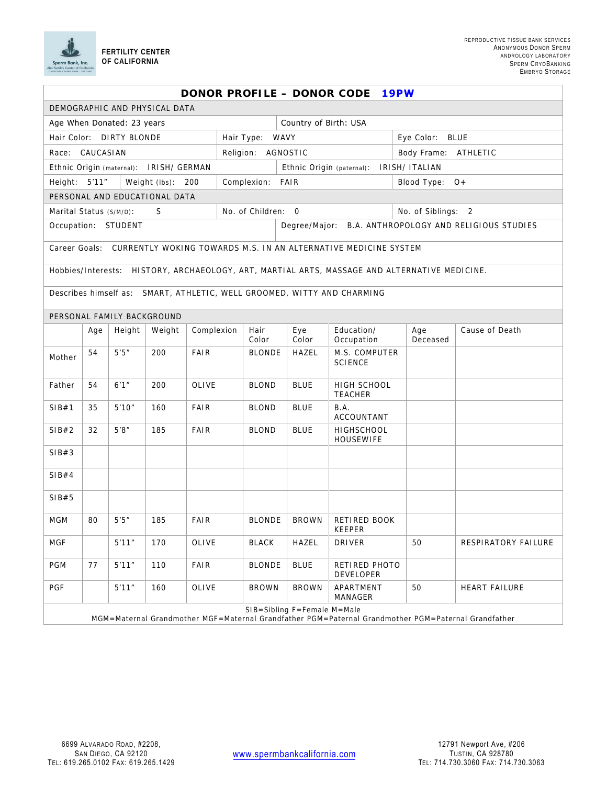

| DONOR PROFILE - DONOR CODE<br><b>19PW</b>                                                                                          |     |        |        |             |                  |               |                                                       |                                 |                    |                      |  |
|------------------------------------------------------------------------------------------------------------------------------------|-----|--------|--------|-------------|------------------|---------------|-------------------------------------------------------|---------------------------------|--------------------|----------------------|--|
| DEMOGRAPHIC AND PHYSICAL DATA                                                                                                      |     |        |        |             |                  |               |                                                       |                                 |                    |                      |  |
| Age When Donated: 23 years                                                                                                         |     |        |        |             |                  |               | Country of Birth: USA                                 |                                 |                    |                      |  |
| Hair Color: DIRTY BLONDE<br>Hair Type:                                                                                             |     |        |        |             |                  |               | WAVY                                                  |                                 | Eye Color: BLUE    |                      |  |
| Race: CAUCASIAN<br>Religion: AGNOSTIC                                                                                              |     |        |        |             |                  |               |                                                       |                                 |                    | Body Frame: ATHLETIC |  |
| Ethnic Origin (maternal): IRISH/ GERMAN                                                                                            |     |        |        |             |                  |               | <b>IRISH/ ITALIAN</b><br>Ethnic Origin (paternal):    |                                 |                    |                      |  |
| Height: 5'11"<br>Weight (lbs): 200                                                                                                 |     |        |        |             | Complexion: FAIR |               |                                                       |                                 | Blood Type: 0+     |                      |  |
| PERSONAL AND EDUCATIONAL DATA                                                                                                      |     |        |        |             |                  |               |                                                       |                                 |                    |                      |  |
| No. of Children: 0<br>S<br>Marital Status (S/M/D):                                                                                 |     |        |        |             |                  |               |                                                       |                                 | No. of Siblings: 2 |                      |  |
| Occupation: STUDENT                                                                                                                |     |        |        |             |                  |               | Degree/Major: B.A. ANTHROPOLOGY AND RELIGIOUS STUDIES |                                 |                    |                      |  |
| Career Goals: CURRENTLY WOKING TOWARDS M.S. IN AN ALTERNATIVE MEDICINE SYSTEM                                                      |     |        |        |             |                  |               |                                                       |                                 |                    |                      |  |
| Hobbies/Interests: HISTORY, ARCHAEOLOGY, ART, MARTIAL ARTS, MASSAGE AND ALTERNATIVE MEDICINE.                                      |     |        |        |             |                  |               |                                                       |                                 |                    |                      |  |
| Describes himself as: SMART, ATHLETIC, WELL GROOMED, WITTY AND CHARMING                                                            |     |        |        |             |                  |               |                                                       |                                 |                    |                      |  |
| PERSONAL FAMILY BACKGROUND                                                                                                         |     |        |        |             |                  |               |                                                       |                                 |                    |                      |  |
|                                                                                                                                    | Age | Height | Weight | Complexion  |                  | Hair<br>Color | Eye<br>Color                                          | Education/<br>Occupation        | Age<br>Deceased    | Cause of Death       |  |
| Mother                                                                                                                             | 54  | 5'5''  | 200    | <b>FAIR</b> |                  | <b>BLONDE</b> | HAZEL                                                 | M.S. COMPUTER<br><b>SCIENCE</b> |                    |                      |  |
| Father                                                                                                                             | 54  | 6'1''  | 200    | OLIVE       |                  | <b>BLOND</b>  | <b>BLUE</b>                                           | HIGH SCHOOL<br><b>TEACHER</b>   |                    |                      |  |
| SIB#1                                                                                                                              | 35  | 5'10'' | 160    | FAIR        |                  | <b>BLOND</b>  | <b>BLUE</b>                                           | B.A.<br>ACCOUNTANT              |                    |                      |  |
| SIB#2                                                                                                                              | 32  | 5'8''  | 185    | FAIR        |                  | <b>BLOND</b>  | <b>BLUE</b>                                           | HIGHSCHOOL<br>HOUSEWIFE         |                    |                      |  |
| SIB#3                                                                                                                              |     |        |        |             |                  |               |                                                       |                                 |                    |                      |  |
| SIB#4                                                                                                                              |     |        |        |             |                  |               |                                                       |                                 |                    |                      |  |
| SIB#5                                                                                                                              |     |        |        |             |                  |               |                                                       |                                 |                    |                      |  |
| MGM                                                                                                                                | 80  | 5'5''  | 185    | <b>FAIR</b> |                  | <b>BLONDE</b> | <b>BROWN</b>                                          | RETIRED BOOK<br>KEEPER          |                    |                      |  |
| <b>MGF</b>                                                                                                                         |     | 5'11'' | 170    | OLIVE       |                  | <b>BLACK</b>  | HAZEL                                                 | DRIVER                          | 50                 | RESPIRATORY FAILURE  |  |
| PGM                                                                                                                                | 77  | 5'11'' | 110    | FAIR        |                  | <b>BLONDE</b> | <b>BLUE</b>                                           | RETIRED PHOTO<br>DEVELOPER      |                    |                      |  |
| PGF                                                                                                                                |     | 5'11"  | 160    | OLIVE       |                  | <b>BROWN</b>  | <b>BROWN</b>                                          | APARTMENT<br>MANAGER            | 50                 | HEART FAILURE        |  |
| SIB=Sibling F=Female M=Male<br>MGM=Maternal Grandmother MGF=Maternal Grandfather PGM=Paternal Grandmother PGM=Paternal Grandfather |     |        |        |             |                  |               |                                                       |                                 |                    |                      |  |